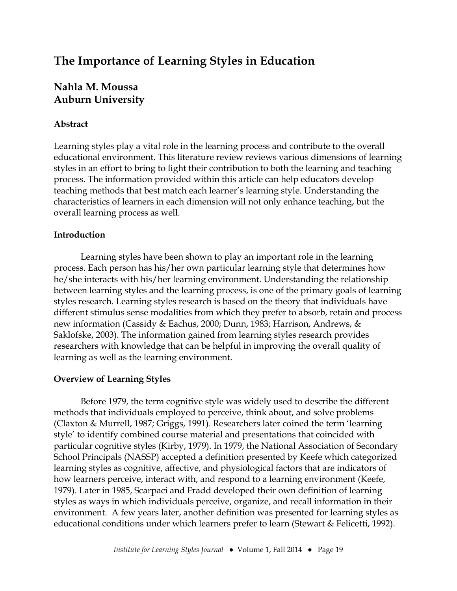# **The Importance of Learning Styles in Education**

# **Nahla M. Moussa Auburn University**

# **Abstract**

Learning styles play a vital role in the learning process and contribute to the overall educational environment. This literature review reviews various dimensions of learning styles in an effort to bring to light their contribution to both the learning and teaching process. The information provided within this article can help educators develop teaching methods that best match each learner's learning style. Understanding the characteristics of learners in each dimension will not only enhance teaching, but the overall learning process as well.

# **Introduction**

Learning styles have been shown to play an important role in the learning process. Each person has his/her own particular learning style that determines how he/she interacts with his/her learning environment. Understanding the relationship between learning styles and the learning process, is one of the primary goals of learning styles research. Learning styles research is based on the theory that individuals have different stimulus sense modalities from which they prefer to absorb, retain and process new information (Cassidy & Eachus, 2000; Dunn, 1983; Harrison, Andrews, & Saklofske, 2003). The information gained from learning styles research provides researchers with knowledge that can be helpful in improving the overall quality of learning as well as the learning environment.

# **Overview of Learning Styles**

Before 1979, the term cognitive style was widely used to describe the different methods that individuals employed to perceive, think about, and solve problems (Claxton & Murrell, 1987; Griggs, 1991). Researchers later coined the term 'learning style' to identify combined course material and presentations that coincided with particular cognitive styles (Kirby, 1979). In 1979, the National Association of Secondary School Principals (NASSP) accepted a definition presented by Keefe which categorized learning styles as cognitive, affective, and physiological factors that are indicators of how learners perceive, interact with, and respond to a learning environment (Keefe, 1979). Later in 1985, Scarpaci and Fradd developed their own definition of learning styles as ways in which individuals perceive, organize, and recall information in their environment. A few years later, another definition was presented for learning styles as educational conditions under which learners prefer to learn (Stewart & Felicetti, 1992).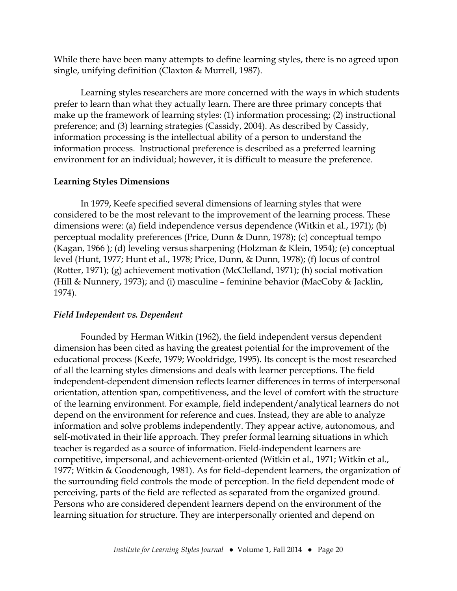While there have been many attempts to define learning styles, there is no agreed upon single, unifying definition (Claxton & Murrell, 1987).

Learning styles researchers are more concerned with the ways in which students prefer to learn than what they actually learn. There are three primary concepts that make up the framework of learning styles: (1) information processing; (2) instructional preference; and (3) learning strategies (Cassidy, 2004). As described by Cassidy, information processing is the intellectual ability of a person to understand the information process. Instructional preference is described as a preferred learning environment for an individual; however, it is difficult to measure the preference.

#### **Learning Styles Dimensions**

In 1979, Keefe specified several dimensions of learning styles that were considered to be the most relevant to the improvement of the learning process. These dimensions were: (a) field independence versus dependence (Witkin et al., 1971); (b) perceptual modality preferences (Price, Dunn & Dunn, 1978); (c) conceptual tempo (Kagan, 1966 ); (d) leveling versus sharpening (Holzman & Klein, 1954); (e) conceptual level (Hunt, 1977; Hunt et al., 1978; Price, Dunn, & Dunn, 1978); (f) locus of control (Rotter, 1971); (g) achievement motivation (McClelland, 1971); (h) social motivation (Hill & Nunnery, 1973); and (i) masculine – feminine behavior (MacCoby & Jacklin, 1974).

# *Field Independent vs. Dependent*

Founded by Herman Witkin (1962), the field independent versus dependent dimension has been cited as having the greatest potential for the improvement of the educational process (Keefe, 1979; Wooldridge, 1995). Its concept is the most researched of all the learning styles dimensions and deals with learner perceptions. The field independent-dependent dimension reflects learner differences in terms of interpersonal orientation, attention span, competitiveness, and the level of comfort with the structure of the learning environment. For example, field independent/analytical learners do not depend on the environment for reference and cues. Instead, they are able to analyze information and solve problems independently. They appear active, autonomous, and self-motivated in their life approach. They prefer formal learning situations in which teacher is regarded as a source of information. Field-independent learners are competitive, impersonal, and achievement-oriented (Witkin et al., 1971; Witkin et al., 1977; Witkin & Goodenough, 1981). As for field-dependent learners, the organization of the surrounding field controls the mode of perception. In the field dependent mode of perceiving, parts of the field are reflected as separated from the organized ground. Persons who are considered dependent learners depend on the environment of the learning situation for structure. They are interpersonally oriented and depend on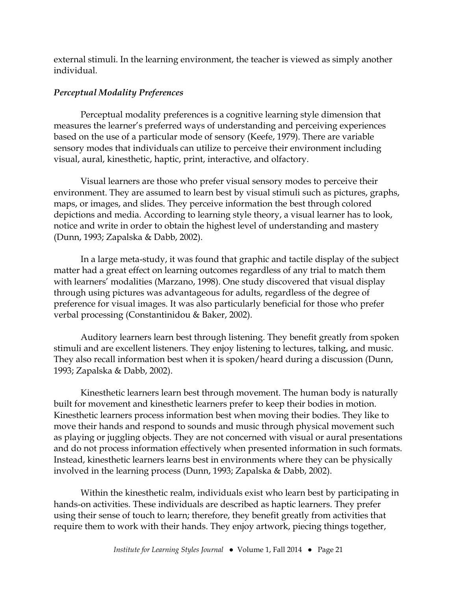external stimuli. In the learning environment, the teacher is viewed as simply another individual.

# *Perceptual Modality Preferences*

Perceptual modality preferences is a cognitive learning style dimension that measures the learner's preferred ways of understanding and perceiving experiences based on the use of a particular mode of sensory (Keefe, 1979). There are variable sensory modes that individuals can utilize to perceive their environment including visual, aural, kinesthetic, haptic, print, interactive, and olfactory.

Visual learners are those who prefer visual sensory modes to perceive their environment. They are assumed to learn best by visual stimuli such as pictures, graphs, maps, or images, and slides. They perceive information the best through colored depictions and media. According to learning style theory, a visual learner has to look, notice and write in order to obtain the highest level of understanding and mastery (Dunn, 1993; Zapalska & Dabb, 2002).

In a large meta-study, it was found that graphic and tactile display of the subject matter had a great effect on learning outcomes regardless of any trial to match them with learners' modalities (Marzano, 1998). One study discovered that visual display through using pictures was advantageous for adults, regardless of the degree of preference for visual images. It was also particularly beneficial for those who prefer verbal processing (Constantinidou & Baker, 2002).

Auditory learners learn best through listening. They benefit greatly from spoken stimuli and are excellent listeners. They enjoy listening to lectures, talking, and music. They also recall information best when it is spoken/heard during a discussion (Dunn, 1993; Zapalska & Dabb, 2002).

Kinesthetic learners learn best through movement. The human body is naturally built for movement and kinesthetic learners prefer to keep their bodies in motion. Kinesthetic learners process information best when moving their bodies. They like to move their hands and respond to sounds and music through physical movement such as playing or juggling objects. They are not concerned with visual or aural presentations and do not process information effectively when presented information in such formats. Instead, kinesthetic learners learns best in environments where they can be physically involved in the learning process (Dunn, 1993; Zapalska & Dabb, 2002).

Within the kinesthetic realm, individuals exist who learn best by participating in hands-on activities. These individuals are described as haptic learners. They prefer using their sense of touch to learn; therefore, they benefit greatly from activities that require them to work with their hands. They enjoy artwork, piecing things together,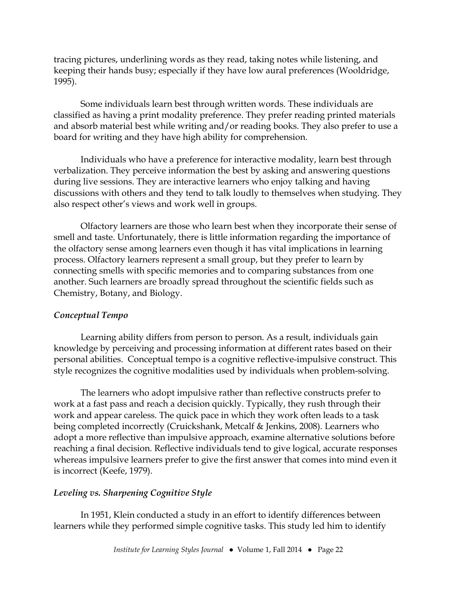tracing pictures, underlining words as they read, taking notes while listening, and keeping their hands busy; especially if they have low aural preferences (Wooldridge, 1995).

Some individuals learn best through written words. These individuals are classified as having a print modality preference. They prefer reading printed materials and absorb material best while writing and/or reading books. They also prefer to use a board for writing and they have high ability for comprehension.

Individuals who have a preference for interactive modality, learn best through verbalization. They perceive information the best by asking and answering questions during live sessions. They are interactive learners who enjoy talking and having discussions with others and they tend to talk loudly to themselves when studying. They also respect other's views and work well in groups.

Olfactory learners are those who learn best when they incorporate their sense of smell and taste. Unfortunately, there is little information regarding the importance of the olfactory sense among learners even though it has vital implications in learning process. Olfactory learners represent a small group, but they prefer to learn by connecting smells with specific memories and to comparing substances from one another. Such learners are broadly spread throughout the scientific fields such as Chemistry, Botany, and Biology.

# *Conceptual Tempo*

Learning ability differs from person to person. As a result, individuals gain knowledge by perceiving and processing information at different rates based on their personal abilities. Conceptual tempo is a cognitive reflective-impulsive construct. This style recognizes the cognitive modalities used by individuals when problem-solving.

The learners who adopt impulsive rather than reflective constructs prefer to work at a fast pass and reach a decision quickly. Typically, they rush through their work and appear careless. The quick pace in which they work often leads to a task being completed incorrectly (Cruickshank, Metcalf & Jenkins, 2008). Learners who adopt a more reflective than impulsive approach, examine alternative solutions before reaching a final decision. Reflective individuals tend to give logical, accurate responses whereas impulsive learners prefer to give the first answer that comes into mind even it is incorrect (Keefe, 1979).

# *Leveling vs. Sharpening Cognitive Style*

In 1951, Klein conducted a study in an effort to identify differences between learners while they performed simple cognitive tasks. This study led him to identify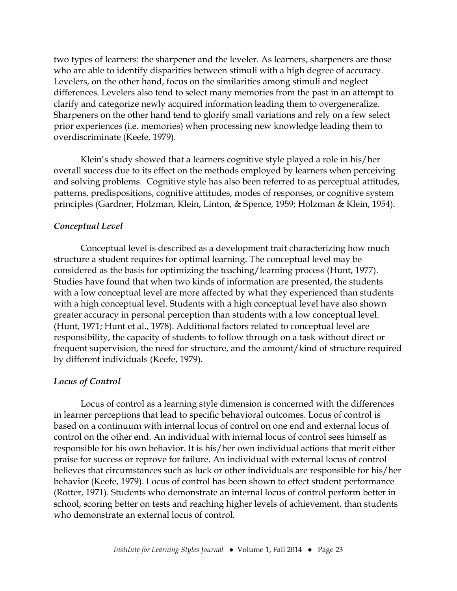two types of learners: the sharpener and the leveler. As learners, sharpeners are those who are able to identify disparities between stimuli with a high degree of accuracy. Levelers, on the other hand, focus on the similarities among stimuli and neglect differences. Levelers also tend to select many memories from the past in an attempt to clarify and categorize newly acquired information leading them to overgeneralize. Sharpeners on the other hand tend to glorify small variations and rely on a few select prior experiences (i.e. memories) when processing new knowledge leading them to overdiscriminate (Keefe, 1979).

Klein's study showed that a learners cognitive style played a role in his/her overall success due to its effect on the methods employed by learners when perceiving and solving problems. Cognitive style has also been referred to as perceptual attitudes, patterns, predispositions, cognitive attitudes, modes of responses, or cognitive system principles (Gardner, Holzman, Klein, Linton, & Spence, 1959; Holzman & Klein, 1954).

# *Conceptual Level*

Conceptual level is described as a development trait characterizing how much structure a student requires for optimal learning. The conceptual level may be considered as the basis for optimizing the teaching/learning process (Hunt, 1977). Studies have found that when two kinds of information are presented, the students with a low conceptual level are more affected by what they experienced than students with a high conceptual level. Students with a high conceptual level have also shown greater accuracy in personal perception than students with a low conceptual level. (Hunt, 1971; Hunt et al., 1978). Additional factors related to conceptual level are responsibility, the capacity of students to follow through on a task without direct or frequent supervision, the need for structure, and the amount/kind of structure required by different individuals (Keefe, 1979).

#### *Locus of Control*

Locus of control as a learning style dimension is concerned with the differences in learner perceptions that lead to specific behavioral outcomes. Locus of control is based on a continuum with internal locus of control on one end and external locus of control on the other end. An individual with internal locus of control sees himself as responsible for his own behavior. It is his/her own individual actions that merit either praise for success or reprove for failure. An individual with external locus of control believes that circumstances such as luck or other individuals are responsible for his/her behavior (Keefe, 1979). Locus of control has been shown to effect student performance (Rotter, 1971). Students who demonstrate an internal locus of control perform better in school, scoring better on tests and reaching higher levels of achievement, than students who demonstrate an external locus of control.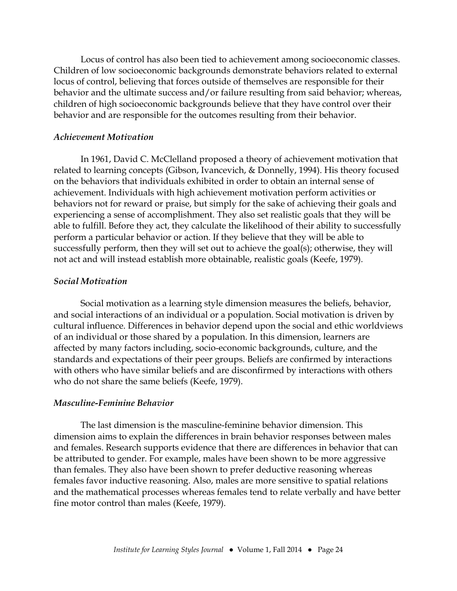Locus of control has also been tied to achievement among socioeconomic classes. Children of low socioeconomic backgrounds demonstrate behaviors related to external locus of control, believing that forces outside of themselves are responsible for their behavior and the ultimate success and/or failure resulting from said behavior; whereas, children of high socioeconomic backgrounds believe that they have control over their behavior and are responsible for the outcomes resulting from their behavior.

#### *Achievement Motivation*

In 1961, David C. McClelland proposed a theory of achievement motivation that related to learning concepts (Gibson, Ivancevich, & Donnelly, 1994). His theory focused on the behaviors that individuals exhibited in order to obtain an internal sense of achievement. Individuals with high achievement motivation perform activities or behaviors not for reward or praise, but simply for the sake of achieving their goals and experiencing a sense of accomplishment. They also set realistic goals that they will be able to fulfill. Before they act, they calculate the likelihood of their ability to successfully perform a particular behavior or action. If they believe that they will be able to successfully perform, then they will set out to achieve the goal(s); otherwise, they will not act and will instead establish more obtainable, realistic goals (Keefe, 1979).

#### *Social Motivation*

Social motivation as a learning style dimension measures the beliefs, behavior, and social interactions of an individual or a population. Social motivation is driven by cultural influence. Differences in behavior depend upon the social and ethic worldviews of an individual or those shared by a population. In this dimension, learners are affected by many factors including, socio-economic backgrounds, culture, and the standards and expectations of their peer groups. Beliefs are confirmed by interactions with others who have similar beliefs and are disconfirmed by interactions with others who do not share the same beliefs (Keefe, 1979).

#### *Masculine-Feminine Behavior*

The last dimension is the masculine-feminine behavior dimension. This dimension aims to explain the differences in brain behavior responses between males and females. Research supports evidence that there are differences in behavior that can be attributed to gender. For example, males have been shown to be more aggressive than females. They also have been shown to prefer deductive reasoning whereas females favor inductive reasoning. Also, males are more sensitive to spatial relations and the mathematical processes whereas females tend to relate verbally and have better fine motor control than males (Keefe, 1979).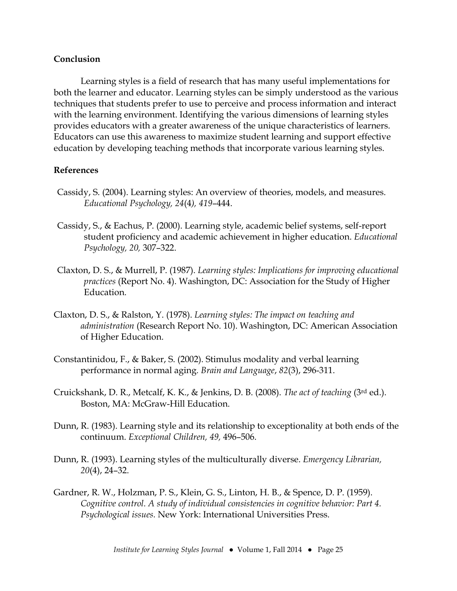#### **Conclusion**

Learning styles is a field of research that has many useful implementations for both the learner and educator. Learning styles can be simply understood as the various techniques that students prefer to use to perceive and process information and interact with the learning environment. Identifying the various dimensions of learning styles provides educators with a greater awareness of the unique characteristics of learners. Educators can use this awareness to maximize student learning and support effective education by developing teaching methods that incorporate various learning styles.

#### **References**

- Cassidy, S. (2004). Learning styles: An overview of theories, models, and measures. *Educational Psychology, 24*(4*), 419*–444.
- Cassidy, S., & Eachus, P. (2000). Learning style, academic belief systems, self-report student proficiency and academic achievement in higher education. *Educational Psychology, 20,* 307–322.
- Claxton, D. S., & Murrell, P. (1987). *Learning styles: Implications for improving educational practices* (Report No. 4). Washington, DC: Association for the Study of Higher Education.
- Claxton, D. S., & Ralston, Y. (1978). *Learning styles: The impact on teaching and administration* (Research Report No. 10). Washington, DC: American Association of Higher Education.
- Constantinidou, F., & Baker, S. (2002). Stimulus modality and verbal learning performance in normal aging*. Brain and Language*, *82*(3), 296-311.
- Cruickshank, D. R., Metcalf, K. K., & Jenkins, D. B. (2008). *The act of teaching* (3rd ed.). Boston, MA: McGraw-Hill Education.
- Dunn, R. (1983). Learning style and its relationship to exceptionality at both ends of the continuum. *Exceptional Children, 49,* 496–506.
- Dunn, R. (1993). Learning styles of the multiculturally diverse. *Emergency Librarian, 20*(4), 24–32.
- Gardner, R. W., Holzman, P. S., Klein, G. S., Linton, H. B., & Spence, D. P. (1959). *Cognitive control. A study of individual consistencies in cognitive behavior: Part 4. Psychological issues.* New York: International Universities Press.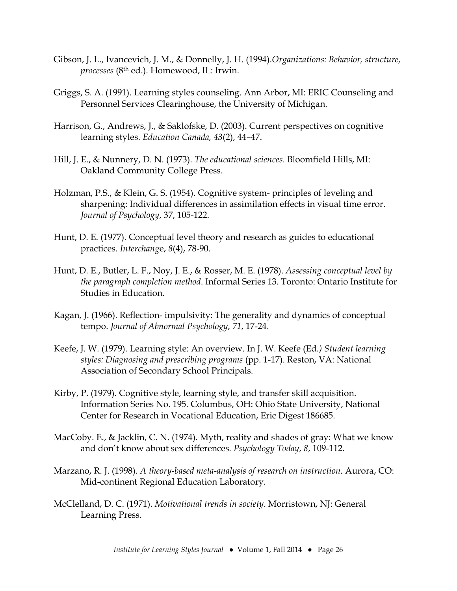- Gibson, J. L., Ivancevich, J. M., & Donnelly, J. H. (1994).*Organizations: Behavior, structure, processes* (8th ed.). Homewood, IL: Irwin.
- Griggs, S. A. (1991). Learning styles counseling. Ann Arbor, MI: ERIC Counseling and Personnel Services Clearinghouse, the University of Michigan.
- Harrison, G., Andrews, J., & Saklofske, D. (2003). Current perspectives on cognitive learning styles. *Education Canada, 43*(2), 44–47.
- Hill, J. E., & Nunnery, D. N. (1973). *The educational sciences*. Bloomfield Hills, MI: Oakland Community College Press.
- Holzman, P.S., & Klein, G. S. (1954). Cognitive system- principles of leveling and sharpening: Individual differences in assimilation effects in visual time error. *Journal of Psychology*, 37, 105-122.
- Hunt, D. E. (1977). Conceptual level theory and research as guides to educational practices. *Interchang*e, *8*(4), 78-90.
- Hunt, D. E., Butler, L. F., Noy, J. E., & Rosser, M. E. (1978). *Assessing conceptual level by the paragraph completion method*. Informal Series 13. Toronto: Ontario Institute for Studies in Education.
- Kagan, J. (1966). Reflection- impulsivity: The generality and dynamics of conceptual tempo. *Journal of Abnormal Psychology*, *71*, 17-24.
- Keefe, J. W. (1979). Learning style: An overview. In J. W. Keefe (Ed*.) Student learning styles: Diagnosing and prescribing programs* (pp. 1-17). Reston, VA: National Association of Secondary School Principals.
- Kirby, P. (1979). Cognitive style, learning style, and transfer skill acquisition. Information Series No. 195. Columbus, OH: Ohio State University, National Center for Research in Vocational Education, Eric Digest 186685.
- MacCoby. E., & Jacklin, C. N. (1974). Myth, reality and shades of gray: What we know and don't know about sex differences*. Psychology Today*, *8*, 109-112.
- Marzano, R. J. (1998). *A theory-based meta-analysis of research on instruction.* Aurora, CO: Mid-continent Regional Education Laboratory.
- McClelland, D. C. (1971). *Motivational trends in society*. Morristown, NJ: General Learning Press.